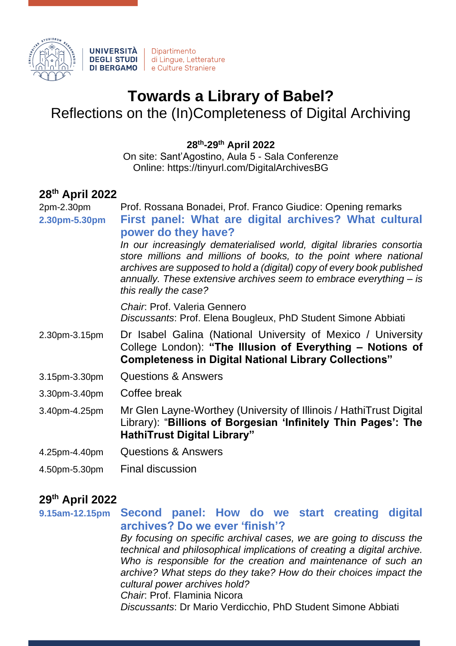

## **Towards a Library of Babel?**

Reflections on the (In)Completeness of Digital Archiving

**28th -29th April 2022**

On site: Sant'Agostino, Aula 5 - Sala Conferenze Online: https://tinyurl.com/DigitalArchivesBG

## **28th April 2022**

2pm-2.30pm Prof. Rossana Bonadei, Prof. Franco Giudice: Opening remarks **2.30pm-5.30pm First panel: What are digital archives? What cultural power do they have?**

*In our increasingly dematerialised world, digital libraries consortia store millions and millions of books, to the point where national archives are supposed to hold a (digital) copy of every book published annually. These extensive archives seem to embrace everything – is this really the case?*

*Chair*: Prof. Valeria Gennero *Discussants*: Prof. Elena Bougleux, PhD Student Simone Abbiati

- 2.30pm-3.15pm Dr Isabel Galina (National University of Mexico / University College London): **"The Illusion of Everything – Notions of Completeness in Digital National Library Collections"**
- 3.15pm-3.30pm Questions & Answers
- 3.30pm-3.40pm Coffee break

3.40pm-4.25pm Mr Glen Layne-Worthey (University of Illinois / HathiTrust Digital Library): "**Billions of Borgesian 'Infinitely Thin Pages': The HathiTrust Digital Library"**

- 4.25pm-4.40pm Questions & Answers
- 4.50pm-5.30pm Final discussion

## **29th April 2022**

**9.15am-12.15pm Second panel: How do we start creating digital archives? Do we ever 'finish'?** *By focusing on specific archival cases, we are going to discuss the technical and philosophical implications of creating a digital archive.* 

*Who is responsible for the creation and maintenance of such an archive? What steps do they take? How do their choices impact the cultural power archives hold?*

*Chair*: Prof. Flaminia Nicora

*Discussants*: Dr Mario Verdicchio, PhD Student Simone Abbiati